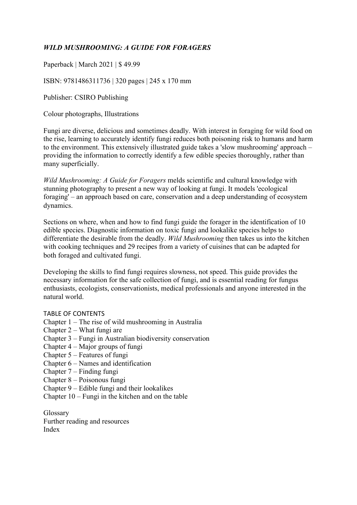## *WILD MUSHROOMING: A GUIDE FOR FORAGERS*

Paperback | March 2021 | \$ 49.99

ISBN: 9781486311736 | 320 pages | 245 x 170 mm

Publisher: CSIRO Publishing

Colour photographs, Illustrations

Fungi are diverse, delicious and sometimes deadly. With interest in foraging for wild food on the rise, learning to accurately identify fungi reduces both poisoning risk to humans and harm to the environment. This extensively illustrated guide takes a 'slow mushrooming' approach – providing the information to correctly identify a few edible species thoroughly, rather than many superficially.

*Wild Mushrooming: A Guide for Foragers* melds scientific and cultural knowledge with stunning photography to present a new way of looking at fungi. It models 'ecological foraging' – an approach based on care, conservation and a deep understanding of ecosystem dynamics.

Sections on where, when and how to find fungi guide the forager in the identification of 10 edible species. Diagnostic information on toxic fungi and lookalike species helps to differentiate the desirable from the deadly. *Wild Mushrooming* then takes us into the kitchen with cooking techniques and 29 recipes from a variety of cuisines that can be adapted for both foraged and cultivated fungi.

Developing the skills to find fungi requires slowness, not speed. This guide provides the necessary information for the safe collection of fungi, and is essential reading for fungus enthusiasts, ecologists, conservationists, medical professionals and anyone interested in the natural world.

## TABLE OF CONTENTS

Chapter 1 – The rise of wild mushrooming in Australia

- Chapter 2 What fungi are
- Chapter 3 Fungi in Australian biodiversity conservation
- Chapter 4 Major groups of fungi
- Chapter 5 Features of fungi
- Chapter 6 Names and identification
- Chapter 7 Finding fungi
- Chapter 8 Poisonous fungi
- Chapter 9 Edible fungi and their lookalikes
- Chapter 10 Fungi in the kitchen and on the table

Glossary Further reading and resources Index